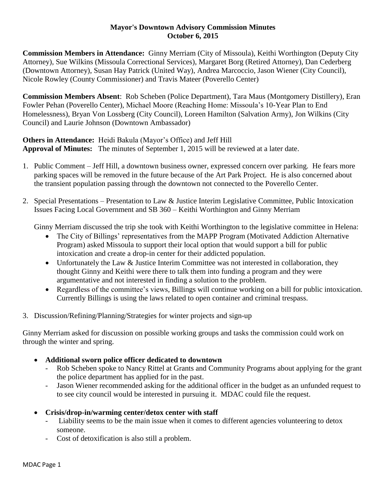### **Mayor's Downtown Advisory Commission Minutes October 6, 2015**

**Commission Members in Attendance:** Ginny Merriam (City of Missoula), Keithi Worthington (Deputy City Attorney), Sue Wilkins (Missoula Correctional Services), Margaret Borg (Retired Attorney), Dan Cederberg (Downtown Attorney), Susan Hay Patrick (United Way), Andrea Marcoccio, Jason Wiener (City Council), Nicole Rowley (County Commissioner) and Travis Mateer (Poverello Center)

**Commission Members Absent**: Rob Scheben (Police Department), Tara Maus (Montgomery Distillery), Eran Fowler Pehan (Poverello Center), Michael Moore (Reaching Home: Missoula's 10-Year Plan to End Homelessness), Bryan Von Lossberg (City Council), Loreen Hamilton (Salvation Army), Jon Wilkins (City Council) and Laurie Johnson (Downtown Ambassador)

**Others in Attendance:** Heidi Bakula (Mayor's Office) and Jeff Hill **Approval of Minutes:** The minutes of September 1, 2015 will be reviewed at a later date.

- 1. Public Comment Jeff Hill, a downtown business owner, expressed concern over parking. He fears more parking spaces will be removed in the future because of the Art Park Project. He is also concerned about the transient population passing through the downtown not connected to the Poverello Center.
- 2. Special Presentations Presentation to Law & Justice Interim Legislative Committee, Public Intoxication Issues Facing Local Government and SB 360 – Keithi Worthington and Ginny Merriam

Ginny Merriam discussed the trip she took with Keithi Worthington to the legislative committee in Helena:

- The City of Billings' representatives from the MAPP Program (Motivated Addiction Alternative Program) asked Missoula to support their local option that would support a bill for public intoxication and create a drop-in center for their addicted population.
- Unfortunately the Law & Justice Interim Committee was not interested in collaboration, they thought Ginny and Keithi were there to talk them into funding a program and they were argumentative and not interested in finding a solution to the problem.
- Regardless of the committee's views, Billings will continue working on a bill for public intoxication. Currently Billings is using the laws related to open container and criminal trespass.
- 3. Discussion/Refining/Planning/Strategies for winter projects and sign-up

Ginny Merriam asked for discussion on possible working groups and tasks the commission could work on through the winter and spring.

- **Additional sworn police officer dedicated to downtown**
	- Rob Scheben spoke to Nancy Rittel at Grants and Community Programs about applying for the grant the police department has applied for in the past.
	- Jason Wiener recommended asking for the additional officer in the budget as an unfunded request to to see city council would be interested in pursuing it. MDAC could file the request.
- **Crisis/drop-in/warming center/detox center with staff**
	- Liability seems to be the main issue when it comes to different agencies volunteering to detox someone.
	- Cost of detoxification is also still a problem.